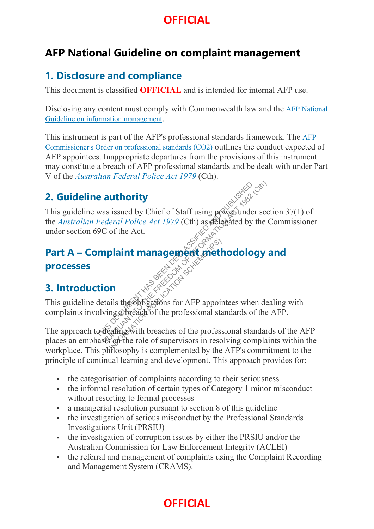#### **AFP National Guideline on complaint management**

#### **1. Disclosure and compliance**

This document is classified **OFFICIAL** and is intended for internal AFP use.

Disclosing any content must comply with Commonwealth law and the AFP National Guideline on information management.

This instrument is part of the AFP's professional standards framework. The AFP Commissioner's Order on professional standards (CO2) outlines the conduct expected of AFP appointees. Inappropriate departures from the provisions of this instrument may constitute a breach of AFP professional standards and be dealt with under Part V of the *Australian Federal Police Act 1979* (Cth).

#### **2. Guideline authority**

This guideline was issued by Chief of Staff using  $\frac{1}{2}$  mder section 37(1) of the *Australian Federal Police Act 1979* (Cth) as delegated by the Commissioner under section 69C of the Act. **Example 18 authority**<br>
Was issued by Chief of Staff using power under sec<br>
Federal Police Act 1979 (Cth) as delegated by the C<br>
9C of the Act.<br> **Inplaint management and the freedom of the freedom**<br>
details the obling a br

#### **Part A – Complaint management methodology and**

#### **processes**

#### **3. Introduction**

This guideline details the obligations for AFP appointees when dealing with complaints involving a breach of the professional standards of the AFP.

The approach to dealing with breaches of the professional standards of the AFP places an emphasis on the role of supervisors in resolving complaints within the workplace. This philosophy is complemented by the AFP's commitment to the principle of continual learning and development. This approach provides for: **INSTANTING SPACE CONSTRANTS**<br>
In the obligations for AFP appoints<br>
afing with breaches of the professional stating with breaches of the professional stational stational stational stational stational stational stational st

- the categorisation of complaints according to their seriousness
- the informal resolution of certain types of Category 1 minor misconduct without resorting to formal processes
- a managerial resolution pursuant to section 8 of this guideline
- the investigation of serious misconduct by the Professional Standards Investigations Unit (PRSIU)
- the investigation of corruption issues by either the PRSIU and/or the Australian Commission for Law Enforcement Integrity (ACLEI)
- the referral and management of complaints using the Complaint Recording and Management System (CRAMS).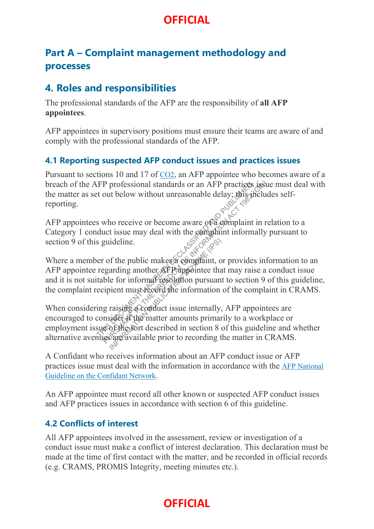#### **Part A – Complaint management methodology and processes**

#### **4. Roles and responsibilities**

The professional standards of the AFP are the responsibility of **all AFP appointees**.

AFP appointees in supervisory positions must ensure their teams are aware of and comply with the professional standards of the AFP.

#### **4.1 Reporting suspected AFP conduct issues and practices issues**

Pursuant to sections 10 and 17 of  $CO<sub>2</sub>$ , an AFP appointee who becomes aware of a breach of the AFP professional standards or an AFP practices issue must deal with the matter as set out below without unreasonable delay; this includes selfreporting.

AFP appointees who receive or become aware of a complaint in relation to a Category 1 conduct issue may deal with the gomplaint informally pursuant to section 9 of this guideline.

Where a member of the public makes a complaint, or provides information to an AFP appointee regarding another AFP appointee that may raise a conduct issue and it is not suitable for informal resolution pursuant to section 9 of this guideline, the complaint recipient must record the information of the complaint in CRAMS. The professional standards or an AFP practices<br>to the below without unreasonable delay; this divergent<br>s who receive or become aware of a complaint in<br>duct issue may deal with the complaint information squideline.<br>similar

When considering raising a conduct issue internally, AFP appointees are encouraged to consider if the matter amounts primarily to a workplace or employment issue of the sort described in section 8 of this guideline and whether alternative avenues are available prior to recording the matter in CRAMS. P professional standards or an AFP practices issue<br>out below without unreasonable delay; this include<br>who receive or become aware of a complaint in re<br>act issue may deal with the complaint informally puideline.<br> $\begin{matrix}\n\circ &$ ideline.<br>
If the public makes a complaint, o<br>
arding another AF Pappointee tha<br>
le for informal resolution pursuant<br>
bient must record the information<br>
raising a conduct issue internally,<br>
sider if the matter amounts prima

A Confidant who receives information about an AFP conduct issue or AFP practices issue must deal with the information in accordance with the AFP National Guideline on the Confidant Network.

An AFP appointee must record all other known or suspected AFP conduct issues and AFP practices issues in accordance with section 6 of this guideline.

#### **4.2 Conflicts of interest**

All AFP appointees involved in the assessment, review or investigation of a conduct issue must make a conflict of interest declaration. This declaration must be made at the time of first contact with the matter, and be recorded in official records (e.g. CRAMS, PROMIS Integrity, meeting minutes etc.).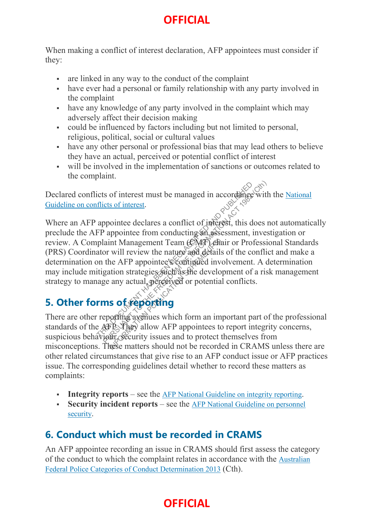When making a conflict of interest declaration, AFP appointees must consider if they:

- are linked in any way to the conduct of the complaint
- have ever had a personal or family relationship with any party involved in the complaint
- have any knowledge of any party involved in the complaint which may adversely affect their decision making
- could be influenced by factors including but not limited to personal, religious, political, social or cultural values
- have any other personal or professional bias that may lead others to believe they have an actual, perceived or potential conflict of interest
- will be involved in the implementation of sanctions or outcomes related to the complaint.

Declared conflicts of interest must be managed in accordance with the National Guideline on conflicts of interest.

Where an AFP appointee declares a conflict of interest, this does not automatically preclude the AFP appointee from conducting an assessment, investigation or review. A Complaint Management Team (CMT) chair or Professional Standards (PRS) Coordinator will review the nature and details of the conflict and make a determination on the AFP appointee's continued involvement. A determination may include mitigation strategies such as the development of a risk management strategy to manage any actual, perceived or potential conflicts. THE SOLUTION OF THE SECTION AFT AND RELATIONS TO THE FREEDOM THE SECTION AND SERVED AND SERVED AND FREEDOM IN THE AND PUBLIC SUCTION OF THE PROPORTION OF THE PROPORTION CONTROLLED THIS **OF CHOOST TO THE SUBLICE THIS OF CHO** Int Management Team (CNT) che<br>
will review the nature and details<br>
ne AFP appointee's continued involtion<br>
strategies such as the develor<br>
any actual perceived or potential<br>
so of reporting<br>
so the proof of the proof of th

# **5. Other forms of reporting**

There are other reporting avenues which form an important part of the professional standards of the AFP They allow AFP appointees to report integrity concerns, suspicious behaviour, security issues and to protect themselves from misconceptions. These matters should not be recorded in CRAMS unless there are other related circumstances that give rise to an AFP conduct issue or AFP practices issue. The corresponding guidelines detail whether to record these matters as complaints:

- **Integrity reports** see the AFP National Guideline on integrity reporting.
- **Security incident reports** see the AFP National Guideline on personnel security.

### **6. Conduct which must be recorded in CRAMS**

An AFP appointee recording an issue in CRAMS should first assess the category of the conduct to which the complaint relates in accordance with the Australian Federal Police Categories of Conduct Determination 2013 (Cth).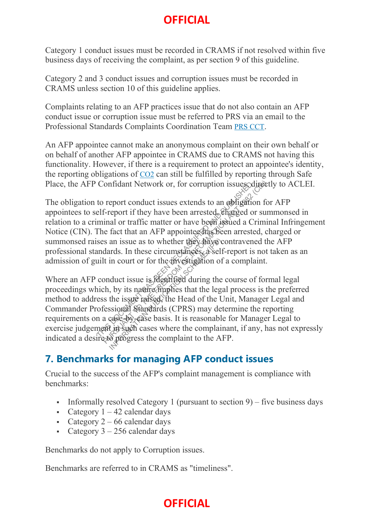Category 1 conduct issues must be recorded in CRAMS if not resolved within five business days of receiving the complaint, as per section 9 of this guideline.

Category 2 and 3 conduct issues and corruption issues must be recorded in CRAMS unless section 10 of this guideline applies.

Complaints relating to an AFP practices issue that do not also contain an AFP conduct issue or corruption issue must be referred to PRS via an email to the Professional Standards Complaints Coordination Team PRS CCT.

An AFP appointee cannot make an anonymous complaint on their own behalf or on behalf of another AFP appointee in CRAMS due to CRAMS not having this functionality. However, if there is a requirement to protect an appointee's identity, the reporting obligations of CO2 can still be fulfilled by reporting through Safe Place, the AFP Confidant Network or, for corruption issues, directly to ACLEI.

The obligation to report conduct issues extends to an obligation for AFP appointees to self-report if they have been arrested, charged or summonsed in relation to a criminal or traffic matter or have been issued a Criminal Infringement Notice (CIN). The fact that an AFP appointee has been arrested, charged or summonsed raises an issue as to whether they have contravened the AFP professional standards. In these circumstances, a self-report is not taken as an admission of guilt in court or for the investigation of a complaint. Confidant Network or, for corruption issues different to report conduct issues extends to an obligation elf-report if they have been arrested, charged or minal or traffic matter or have been issued a Cr The fact that an A

Where an AFP conduct issue is identified during the course of formal legal proceedings which, by its nature implies that the legal process is the preferred method to address the issue raised, the Head of the Unit, Manager Legal and Commander Professional Standards (CPRS) may determine the reporting requirements on a case-by-case basis. It is reasonable for Manager Legal to exercise judgement in such cases where the complainant, if any, has not expressly indicated a desire to progress the complaint to the AFP. Confidant Network or, for corruption issues chirect<br>report conduct issues extends to an abligation for<br>f-report if they have been arrested, shared or sum<br>inal or traffic matter or have been issued a Crimin<br>in the fact tha an issue as to whether they have<br>urds. In these circumstances, a self-<br>in court or for the divestigation of<br>duct issue is identified during the<br>but issue is identified during the<br>but issue raised, the Head of the U<br>ssiona

#### **7. Benchmarks for managing AFP conduct issues**

Crucial to the success of the AFP's complaint management is compliance with benchmarks:

- Informally resolved Category 1 (pursuant to section  $9$ ) five business days
- Category  $1 42$  calendar days
- Category  $2 66$  calendar days
- Category  $3 256$  calendar days

Benchmarks do not apply to Corruption issues.

Benchmarks are referred to in CRAMS as "timeliness".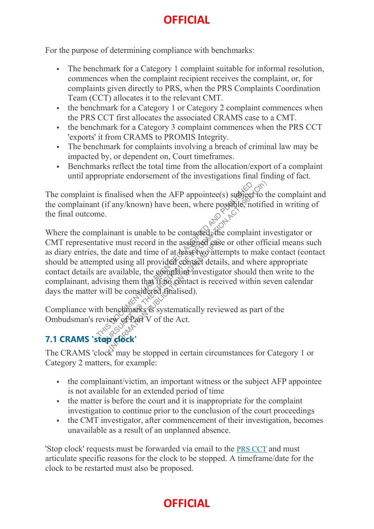For the purpose of determining compliance with benchmarks:

- The benchmark for a Category 1 complaint suitable for informal resolution, commences when the complaint recipient receives the complaint, or, for complaints given directly to PRS, when the PRS Complaints Coordination Team (CCT) allocates it to the relevant CMT.
- the benchmark for a Category 1 or Category 2 complaint commences when the PRS CCT first allocates the associated CRAMS case to a CMT.
- the benchmark for a Category 3 complaint commences when the PRS CCT 'exports' it from CRAMS to PROMIS Integrity.
- The benchmark for complaints involving a breach of criminal law may be impacted by, or dependent on, Court timeframes.
- Benchmarks reflect the total time from the allocation/export of a complaint until appropriate endorsement of the investigations final finding of fact.

The complaint is finalised when the AFP appointee(s) subject to the complaint and the complainant (if any/known) have been, where possible, notified in writing of the final outcome.

Where the complainant is unable to be contacted, the complaint investigator or CMT representative must record in the assigned case or other official means such as diary entries, the date and time of at least two attempts to make contact (contact should be attempted using all provided contact details, and where appropriate contact details are available, the complaint investigator should then write to the complainant, advising them that if the contact is received within seven calendar days the matter will be considered finalised). The inclusion of the AFP appointee(s) subject to the tring of the tring of the tring of the contacted at the complaint in a trive must record in the assigned can content of the subsetively defined using all provided conta The must record in the assigned case<br>
E date and time of at deast two atte<br>
d using all provided contact detail<br>
available, the complaint investiga<br>
ing them that from contact is rece<br>
ll be considered finalised).<br>
enclina

Compliance with benchmarks is systematically reviewed as part of the Ombudsman's review of Part V of the Act.

# **7.1 CRAMS 'stop clock'**

The CRAMS 'clock' may be stopped in certain circumstances for Category 1 or Category 2 matters, for example:

- the complainant/victim, an important witness or the subject AFP appointee is not available for an extended period of time
- the matter is before the court and it is inappropriate for the complaint investigation to continue prior to the conclusion of the court proceedings
- the CMT investigator, after commencement of their investigation, becomes unavailable as a result of an unplanned absence.

'Stop clock' requests must be forwarded via email to the PRS CCT and must articulate specific reasons for the clock to be stopped. A timeframe/date for the clock to be restarted must also be proposed.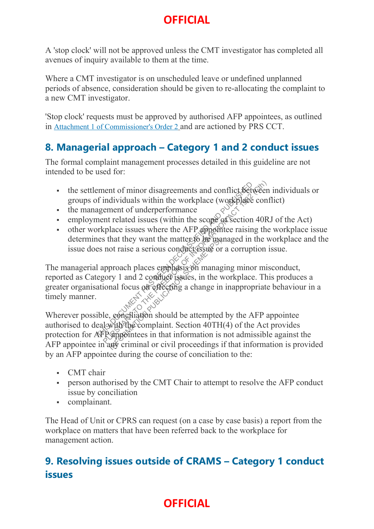A 'stop clock' will not be approved unless the CMT investigator has completed all avenues of inquiry available to them at the time.

Where a CMT investigator is on unscheduled leave or undefined unplanned periods of absence, consideration should be given to re-allocating the complaint to a new CMT investigator.

'Stop clock' requests must be approved by authorised AFP appointees, as outlined in Attachment 1 of Commissioner's Order 2 and are actioned by PRS CCT.

#### **8. Managerial approach – Category 1 and 2 conduct issues**

The formal complaint management processes detailed in this guideline are not intended to be used for:

- the settlement of minor disagreements and conflict between individuals or groups of individuals within the workplace (workplace conflict)
- the management of underperformance
- employment related issues (within the scope of section 40RJ of the Act)
- other workplace issues where the AFP appointee raising the workplace issue determines that they want the matter to be managed in the workplace and the issue does not raise a serious conduct issue or a corruption issue.

The managerial approach places emphasis on managing minor misconduct, reported as Category 1 and 2 conduct issues, in the workplace. This produces a greater organisational focus on effecting a change in inappropriate behaviour in a timely manner. timely manner. Frament of minor disagreements and conflict Setween<br>
f individuals within the workplace (workplace conf<br>
agement of underperformance<br>
ment related issues (within the scope of section 40R<br>
orkplace issues where the AFP appo

Wherever possible, conciliation should be attempted by the AFP appointee authorised to deal with the complaint. Section  $40TH(4)$  of the Act provides protection for AFP appointees in that information is not admissible against the AFP appointee in any criminal or civil proceedings if that information is provided by an AFP appointee during the course of conciliation to the: That they want the matter to be made of the matter of the matter of the managery 1 and 2 conduct issues, in the v<br>nal focus on effecting a change in<br>nal focus on effecting a change in<br>the matter of the matter of the matter

- CMT chair
- person authorised by the CMT Chair to attempt to resolve the AFP conduct issue by conciliation
- complainant.

The Head of Unit or CPRS can request (on a case by case basis) a report from the workplace on matters that have been referred back to the workplace for management action.

#### **9. Resolving issues outside of CRAMS – Category 1 conduct issues**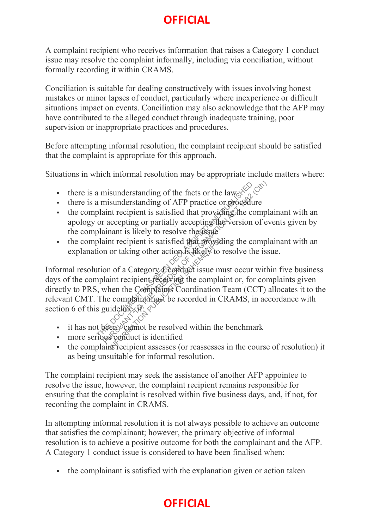A complaint recipient who receives information that raises a Category 1 conduct issue may resolve the complaint informally, including via conciliation, without formally recording it within CRAMS.

Conciliation is suitable for dealing constructively with issues involving honest mistakes or minor lapses of conduct, particularly where inexperience or difficult situations impact on events. Conciliation may also acknowledge that the AFP may have contributed to the alleged conduct through inadequate training, poor supervision or inappropriate practices and procedures.

Before attempting informal resolution, the complaint recipient should be satisfied that the complaint is appropriate for this approach.

Situations in which informal resolution may be appropriate include matters where:

- there is a misunderstanding of the facts or the law
- there is a misunderstanding of AFP practice or procedure
- $\bullet$  the complaint recipient is satisfied that providing the complainant with an apology or accepting or partially accepting the version of events given by the complainant is likely to resolve the ussue
- the complaint recipient is satisfied that providing the complainant with an explanation or taking other action  $\delta$  is likely to resolve the issue.

Informal resolution of a Category  $\mathcal{L}$  conduct issue must occur within five business days of the complaint recipient receiving the complaint or, for complaints given directly to PRS, when the Complaints Coordination Team (CCT) allocates it to the relevant CMT. The complaint must be recorded in CRAMS, in accordance with section 6 of this guideline,  $f: \diamond$ a misunderstanding of the facts or the law<br>
a misunderstanding of AFP practice or procedure<br>
plaint recipient is satisfied that providing the complete<br>
or accepting or partially accepting the version of ev<br>
plainant is li nt recipient is satisfied that provid<br>or taking other action is likely to<br>in of a Category Conduct issue m<br>int recipient receiving the complaint<br>nen the Complaints Coordination<br>explaint wist be recorded in C<br>ideline, if:<br>

- it has not been  $\Diamond$  cannot be resolved within the benchmark
- more serious conduct is identified
- the complaint recipient assesses (or reassesses in the course of resolution) it as being unsuitable for informal resolution.

The complaint recipient may seek the assistance of another AFP appointee to resolve the issue, however, the complaint recipient remains responsible for ensuring that the complaint is resolved within five business days, and, if not, for recording the complaint in CRAMS.

In attempting informal resolution it is not always possible to achieve an outcome that satisfies the complainant; however, the primary objective of informal resolution is to achieve a positive outcome for both the complainant and the AFP. A Category 1 conduct issue is considered to have been finalised when:

the complainant is satisfied with the explanation given or action taken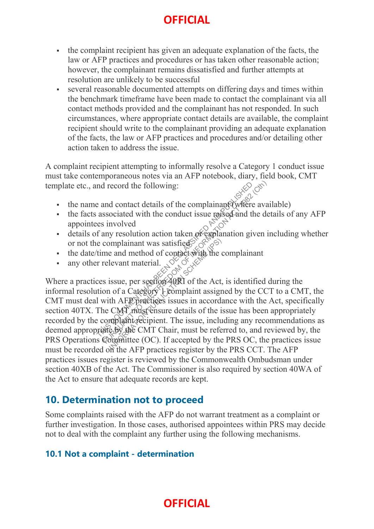- the complaint recipient has given an adequate explanation of the facts, the law or AFP practices and procedures or has taken other reasonable action; however, the complainant remains dissatisfied and further attempts at resolution are unlikely to be successful
- several reasonable documented attempts on differing days and times within the benchmark timeframe have been made to contact the complainant via all contact methods provided and the complainant has not responded. In such circumstances, where appropriate contact details are available, the complaint recipient should write to the complainant providing an adequate explanation of the facts, the law or AFP practices and procedures and/or detailing other action taken to address the issue.

A complaint recipient attempting to informally resolve a Category 1 conduct issue must take contemporaneous notes via an AFP notebook, diary, field book, CMT template etc., and record the following:

- the name and contact details of the complainant (where available)
- the facts associated with the conduct issue raised and the details of any AFP appointees involved
- details of any resolution action taken or explanation given including whether or not the complainant was satisfied
- the date/time and method of contact with the complainant
- any other relevant material.

Where a practices issue, per section 40RI of the Act, is identified during the informal resolution of a Category 1 complaint assigned by the CCT to a CMT, the CMT must deal with AFP practices issues in accordance with the Act, specifically section 40TX. The CMT must ensure details of the issue has been appropriately recorded by the complaint recipient. The issue, including any recommendations as deemed appropriate by the CMT Chair, must be referred to, and reviewed by, the PRS Operations Committee (OC). If accepted by the PRS OC, the practices issue must be recorded on the AFP practices register by the PRS CCT. The AFP practices issues register is reviewed by the Commonwealth Ombudsman under section 40XB of the Act. The Commissioner is also required by section 40WA of the Act to ensure that adequate records are kept. and record the following:<br>  $\therefore$  and contact details of the complainant (where availassociated with the conduct issue raised and the de-<br>
es involved<br>
f any resolution action taken or explaination given in<br>
e complainant Implainant was satisfied<br>
Levant material.<br>
I levant material.<br>
I levant material.<br>
I levant material.<br>
I levant material.<br>
I levant material of the Act,<br>
I levant assign the AFP practices issues in accords<br>
CMT must be i

#### **10. Determination not to proceed**

Some complaints raised with the AFP do not warrant treatment as a complaint or further investigation. In those cases, authorised appointees within PRS may decide not to deal with the complaint any further using the following mechanisms.

#### **10.1 Not a complaint - determination**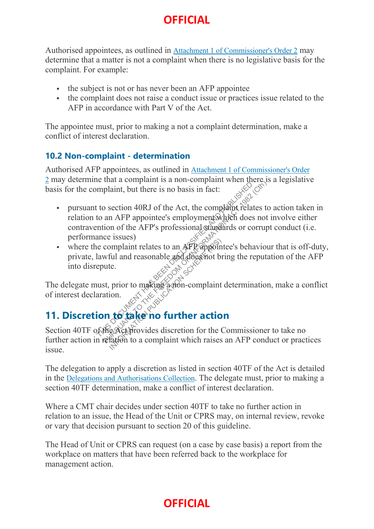Authorised appointees, as outlined in Attachment 1 of Commissioner's Order 2 may determine that a matter is not a complaint when there is no legislative basis for the complaint. For example:

- the subject is not or has never been an AFP appointee
- the complaint does not raise a conduct issue or practices issue related to the AFP in accordance with Part V of the Act.

The appointee must, prior to making a not a complaint determination, make a conflict of interest declaration.

#### **10.2 Non-complaint - determination**

Authorised AFP appointees, as outlined in Attachment 1 of Commissioner's Order 2 may determine that a complaint is a non-complaint when there is a legislative basis for the complaint, but there is no basis in fact:

- pursuant to section 40RJ of the Act, the complaint relates to action taken in relation to an AFP appointee's employment which does not involve either contravention of the AFP's professional standards or corrupt conduct (i.e. performance issues) mplaint, but there is no basis in fact:<br>to section 40RJ of the Act, the complaint relate<br>to an AFP appointee's employment which does<br>notion of the AFP's professional standards or con<br>ance issues)<br>is ecomplaint relates to a that a complaint is a non-complaint when directs<br>plaint, but there is no basis in fact:<br>o section 40RJ of the Act, the complaint relates to<br>an AFP appointee's employment which does not<br>ion of the AFP's professional standar
- where the complaint relates to an AFP appointee's behaviour that is off-duty, private, lawful and reasonable and does not bring the reputation of the AFP into disrepute. Information Container action<br>
In and reasonable and does not be<br>
the example and does not be<br>
prior to making a mon-complaint<br>
ion.<br> **to take no further action**<br>
exceptrovides discretion for the Chatten to a complaint whic

The delegate must, prior to making a non-complaint determination, make a conflict of interest declaration.

### **11. Discretion to take no further action**

Section 40TF of the Act provides discretion for the Commissioner to take no further action in relation to a complaint which raises an AFP conduct or practices issue.

The delegation to apply a discretion as listed in section 40TF of the Act is detailed in the Delegations and Authorisations Collection. The delegate must, prior to making a section 40TF determination, make a conflict of interest declaration.

Where a CMT chair decides under section 40TF to take no further action in relation to an issue, the Head of the Unit or CPRS may, on internal review, revoke or vary that decision pursuant to section 20 of this guideline.

The Head of Unit or CPRS can request (on a case by case basis) a report from the workplace on matters that have been referred back to the workplace for management action.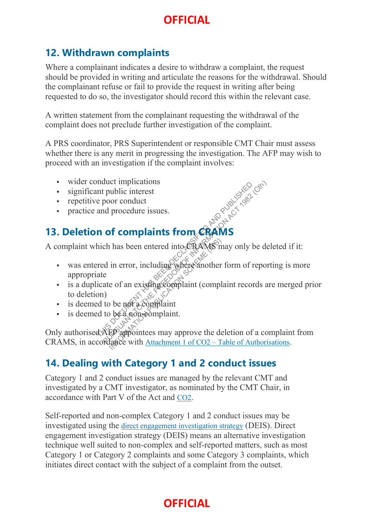#### **12. Withdrawn complaints**

Where a complainant indicates a desire to withdraw a complaint, the request should be provided in writing and articulate the reasons for the withdrawal. Should the complainant refuse or fail to provide the request in writing after being requested to do so, the investigator should record this within the relevant case.

A written statement from the complainant requesting the withdrawal of the complaint does not preclude further investigation of the complaint.

A PRS coordinator, PRS Superintendent or responsible CMT Chair must assess whether there is any merit in progressing the investigation. The AFP may wish to proceed with an investigation if the complaint involves:

- wider conduct implications
- significant public interest
- **repetitive poor conduct**
- practice and procedure issues.

### **13. Deletion of complaints from CRAMS**

A complaint which has been entered into  $CRANS$  may only be deleted if it:

- was entered in error, including where another form of reporting is more appropriate THE REAL STREAM OF COMPLAINS<br>
The poor conduct<br>
and procedure issues.<br> **n** of complaints from CRAMS<br>
hich has been entered into ERAMS<br>
hich has been entered into ERAMS<br>
has been entered into ERAMS<br>
and the post a complaint duct implications<br>
public interest<br>
poor conduct<br>
ind procedure issues.<br> **of complaints from CRAMS**<br>
ch has been entered into CRAMS<br>
ch has been entered into CRAMS<br>
ch has been entered into CRAMS<br>
change with a strategy co I has been entered into  $C$ RAMS m<br>in error, including where another<br>e of an existing complaint (compl<br>b be not a complaint<br>b be a non-somplaint.<br> $C$ <br> $C$  appointees may approve the deface with Attachment 1 of CO2 – T
- is a duplicate of an existing complaint (complaint records are merged prior to deletion)
- is deemed to be not a complaint
- is deemed to be a non-eomplaint.

Only authorised AFP appointees may approve the deletion of a complaint from CRAMS, in accordance with Attachment 1 of CO2 – Table of Authorisations.

#### **14. Dealing with Category 1 and 2 conduct issues**

Category 1 and 2 conduct issues are managed by the relevant CMT and investigated by a CMT investigator, as nominated by the CMT Chair, in accordance with Part V of the Act and CO2.

Self-reported and non-complex Category 1 and 2 conduct issues may be investigated using the direct engagement investigation strategy (DEIS). Direct engagement investigation strategy (DEIS) means an alternative investigation technique well suited to non-complex and self-reported matters, such as most Category 1 or Category 2 complaints and some Category 3 complaints, which initiates direct contact with the subject of a complaint from the outset.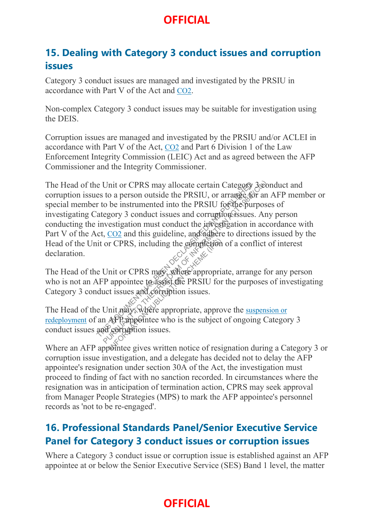#### **15. Dealing with Category 3 conduct issues and corruption issues**

Category 3 conduct issues are managed and investigated by the PRSIU in accordance with Part V of the Act and CO2.

Non-complex Category 3 conduct issues may be suitable for investigation using the DEIS.

Corruption issues are managed and investigated by the PRSIU and/or ACLEI in accordance with Part V of the Act, CO2 and Part 6 Division 1 of the Law Enforcement Integrity Commission (LEIC) Act and as agreed between the AFP Commissioner and the Integrity Commissioner.

The Head of the Unit or CPRS may allocate certain Category 3 conduct and corruption issues to a person outside the PRSIU, or arrange for an AFP member or special member to be instrumented into the PRSIU for the purposes of investigating Category 3 conduct issues and corruption issues. Any person conducting the investigation must conduct the investigation in accordance with Part V of the Act, CO2 and this guideline, and adhere to directions issued by the Head of the Unit or CPRS, including the completion of a conflict of interest declaration. e Unit or CPRS may allocate certain Category?<br>
es to a person outside the PRSIU, or arrangée for<br>
r to be instrumented into the PRSIU fogahe pur<br>
lategory 3 conduct issues and corruptions issues.<br>
investigation must conduc Unit or CPRS may allocate certain Category 3:00<br>to a person outside the PRSIU, or arrange for an<br>o be instrumented into the PRSIU for the purpose<br>egory 3 conduct issues and corruption issues. Any<br>vestigation must conduct

The Head of the Unit or CPRS may, where appropriate, arrange for any person who is not an AFP appointee to assist the PRSIU for the purposes of investigating Category 3 conduct issues and corruption issues.

The Head of the Unit may, where appropriate, approve the suspension or redeployment of an AFP appointee who is the subject of ongoing Category 3 conduct issues and corruption issues. The CPRS, including the completion<br>
int or CPRS may, where appropria<br>
appointee to assist the PRSIU for<br>
t issues and corruption issues.<br>
int may, where appropriate, appro<br>
APP appointee who is the subject<br>
corruption issu

Where an AFP appointee gives written notice of resignation during a Category 3 or corruption issue investigation, and a delegate has decided not to delay the AFP appointee's resignation under section 30A of the Act, the investigation must proceed to finding of fact with no sanction recorded. In circumstances where the resignation was in anticipation of termination action, CPRS may seek approval from Manager People Strategies (MPS) to mark the AFP appointee's personnel records as 'not to be re-engaged'.

#### **16. Professional Standards Panel/Senior Executive Service Panel for Category 3 conduct issues or corruption issues**

Where a Category 3 conduct issue or corruption issue is established against an AFP appointee at or below the Senior Executive Service (SES) Band 1 level, the matter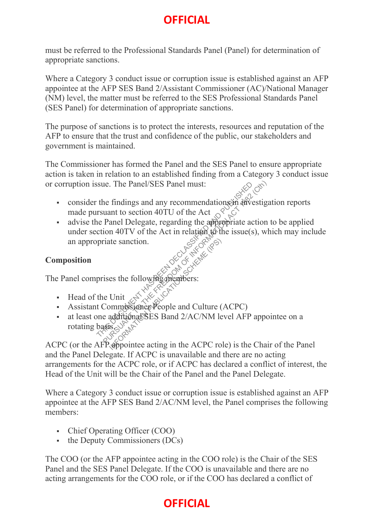must be referred to the Professional Standards Panel (Panel) for determination of appropriate sanctions.

Where a Category 3 conduct issue or corruption issue is established against an AFP appointee at the AFP SES Band 2/Assistant Commissioner (AC)/National Manager (NM) level, the matter must be referred to the SES Professional Standards Panel (SES Panel) for determination of appropriate sanctions.

The purpose of sanctions is to protect the interests, resources and reputation of the AFP to ensure that the trust and confidence of the public, our stakeholders and government is maintained.

The Commissioner has formed the Panel and the SES Panel to ensure appropriate action is taken in relation to an established finding from a Category 3 conduct issue or corruption issue. The Panel/SES Panel must:

- consider the findings and any recommendations in investigation reports made pursuant to section 40TU of the Act
- advise the Panel Delegate, regarding the appropriate action to be applied under section  $40$ TV of the Act in relation to the issue(s), which may include an appropriate sanction. Sue. The Panel/SES Panel must:<br>
the findings and any recommendations in investiga<br>
rsuant to section 40TU of the Act  $\frac{1}{2}$  of  $\frac{1}{2}$ <br>
ne Panel Delegate, regarding the appropriate action<br>
ction 40TV of the Act in re

#### **Composition**

The Panel comprises the following members:

- Head of the Unit
- Assistant Commissioner People and Culture (ACPC)
- at least one additional SES Band 2/AC/NM level AFP appointee on a rotating basis. an appropriate sanction.<br>
Composition<br>
The Panel comprises the following one process:<br>
<br> **IFRORMATION PUBLICATION PUBLICATION**<br> **IFRORMATION PUBLICATION PUBLICATION**<br> **IFRORMATION PUBLICATION PUBLICATION**<br> **IFRORMATION PU**

and the Panel Delegate. If ACPC is unavailable and there are no acting arrangements for the ACPC role, or if ACPC has declared a conflict of interest, the Head of the Unit will be the Chair of the Panel and the Panel Delegate.

Where a Category 3 conduct issue or corruption issue is established against an AFP appointee at the AFP SES Band 2/AC/NM level, the Panel comprises the following members:

- Chief Operating Officer (COO)
- $\bullet$  the Deputy Commissioners (DCs)

The COO (or the AFP appointee acting in the COO role) is the Chair of the SES Panel and the SES Panel Delegate. If the COO is unavailable and there are no acting arrangements for the COO role, or if the COO has declared a conflict of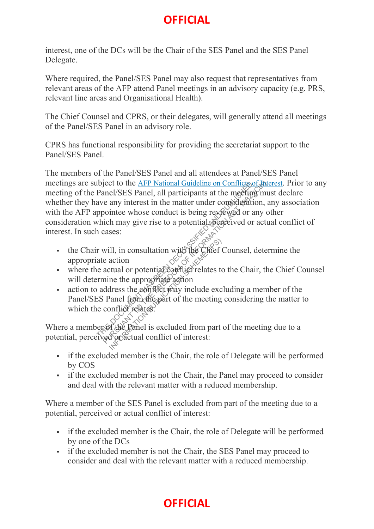interest, one of the DCs will be the Chair of the SES Panel and the SES Panel Delegate.

Where required, the Panel/SES Panel may also request that representatives from relevant areas of the AFP attend Panel meetings in an advisory capacity (e.g. PRS, relevant line areas and Organisational Health).

The Chief Counsel and CPRS, or their delegates, will generally attend all meetings of the Panel/SES Panel in an advisory role.

CPRS has functional responsibility for providing the secretariat support to the Panel/SES Panel.

The members of the Panel/SES Panel and all attendees at Panel/SES Panel meetings are subject to the AFP National Guideline on Conflicts of Interest. Prior to any meeting of the Panel/SES Panel, all participants at the meeting must declare whether they have any interest in the matter under consideration, any association with the AFP appointee whose conduct is being reviewed or any other consideration which may give rise to a potential, perceived or actual conflict of interest. In such cases: The Mational Guideline on Conflicts of the Panel/SES Panel, all participants at the meeting mu<br>
ave any interest in the matter under comsideration, a<br>
ppointee whose conduct is being rextexed or any of<br>
which may give rise

- the Chair will, in consultation with the Chief Counsel, determine the appropriate action
- where the actual or potential conflict relates to the Chair, the Chief Counsel will determine the appropriate action
- $\blacksquare$  action to address the conflict may include excluding a member of the Panel/SES Panel from the part of the meeting considering the matter to which the conflict relates. II, in consultation with the Chief dentition<br>action<br>tual or potential conflict relates to<br>ne the appropriate action<br>dress the conflict may include exc<br>and from the part of the meeting<br>on flict relates.

Where a member of the Ranel is excluded from part of the meeting due to a potential, perceived or actual conflict of interest:

- if the excluded member is the Chair, the role of Delegate will be performed by COS
- if the excluded member is not the Chair, the Panel may proceed to consider and deal with the relevant matter with a reduced membership.

Where a member of the SES Panel is excluded from part of the meeting due to a potential, perceived or actual conflict of interest:

- if the excluded member is the Chair, the role of Delegate will be performed by one of the DCs
- if the excluded member is not the Chair, the SES Panel may proceed to consider and deal with the relevant matter with a reduced membership.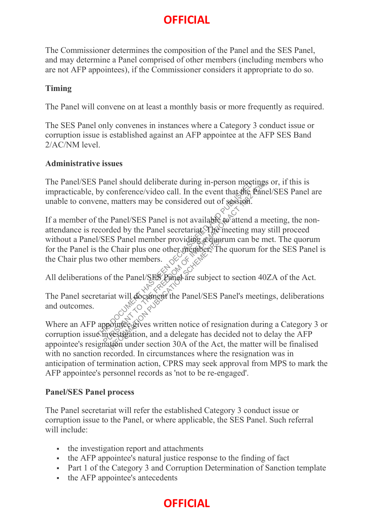The Commissioner determines the composition of the Panel and the SES Panel, and may determine a Panel comprised of other members (including members who are not AFP appointees), if the Commissioner considers it appropriate to do so.

#### **Timing**

The Panel will convene on at least a monthly basis or more frequently as required.

The SES Panel only convenes in instances where a Category 3 conduct issue or corruption issue is established against an AFP appointee at the AFP SES Band 2/AC/NM level.

#### **Administrative issues**

The Panel/SES Panel should deliberate during in-person meetings or, if this is impracticable, by conference/video call. In the event that the Panel/SES Panel are unable to convene, matters may be considered out of session.

If a member of the Panel/SES Panel is not available to attend a meeting, the nonattendance is recorded by the Panel secretariat. The meeting may still proceed without a Panel/SES Panel member providing a quorum can be met. The quorum for the Panel is the Chair plus one other member. The quorum for the SES Panel is the Chair plus two other members.  $\propto$ Panel should deliberate during in-person meetings<br>by conference/video call. In the event that the Panel<br>ene, matters may be considered out of session.<br>The Panel/SES Panel is not available to attend a me<br>coorded by the Pan

All deliberations of the Panel/SES Panel are subject to section 40ZA of the Act.

The Panel secretariat will document the Panel/SES Panel's meetings, deliberations and outcomes.

Where an AFP appointee gives written notice of resignation during a Category 3 or corruption issue investigation, and a delegate has decided not to delay the AFP appointee's resignation under section 30A of the Act, the matter will be finalised with no sanction recorded. In circumstances where the resignation was in anticipation of termination action, CPRS may seek approval from MPS to mark the AFP appointee's personnel records as 'not to be re-engaged'. IS Panel member providue acquoin<br>
Chair plus one other members.<br>
If the Panel/SES Panel are subject<br>
iat will document the Panel/SES Panel is a subject<br>
iat will document the Panel/SES Panel<br>
Subsets written notice of resi

#### **Panel/SES Panel process**

The Panel secretariat will refer the established Category 3 conduct issue or corruption issue to the Panel, or where applicable, the SES Panel. Such referral will include:

- the investigation report and attachments
- the AFP appointee's natural justice response to the finding of fact
- Part 1 of the Category 3 and Corruption Determination of Sanction template
- the AFP appointee's antecedents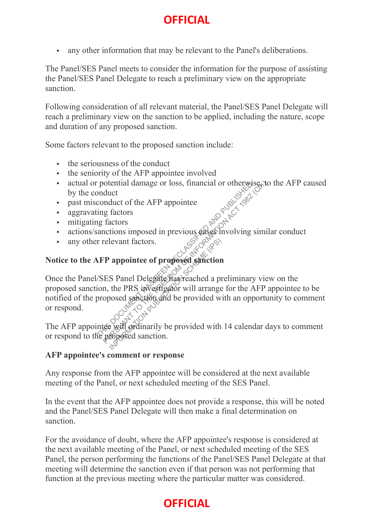any other information that may be relevant to the Panel's deliberations.

The Panel/SES Panel meets to consider the information for the purpose of assisting the Panel/SES Panel Delegate to reach a preliminary view on the appropriate sanction.

Following consideration of all relevant material, the Panel/SES Panel Delegate will reach a preliminary view on the sanction to be applied, including the nature, scope and duration of any proposed sanction.

Some factors relevant to the proposed sanction include:

- $\blacksquare$  the seriousness of the conduct
- the seniority of the AFP appointee involved
- actual or potential damage or loss, financial or otherwise, to the AFP caused by the conduct
- past misconduct of the AFP appointee
- aggravating factors
- mitigating factors
- actions/sanctions imposed in previous cases involving similar conduct
- any other relevant factors.

# **Notice to the AFP appointee of proposed sanction**

Once the Panel/SES Panel Delegate has reached a preliminary view on the proposed sanction, the PRS investigator will arrange for the AFP appointee to be notified of the proposed sanction and be provided with an opportunity to comment or respond. The potential damage or loss, financial or otherwise, to conduct<br>conduct<br>conduct of the AFP appointee<br>ing factors<br>anctions imposed in previous cases involving simil<br> $\pi$  relevant factors.<br>**AFP appointee of proposed sancti** Example 1991<br>
Internation of proposed sanction<br>
S Panel Delegate has reached a provided with<br>
publication and be provided with<br>  $\frac{1}{\sqrt{2}}$  will ordinarily be provided with<br>
reposed sanction.

The AFP appointee will ordinarily be provided with 14 calendar days to comment or respond to the proposed sanction.

#### **AFP appointee's comment or response**

Any response from the AFP appointee will be considered at the next available meeting of the Panel, or next scheduled meeting of the SES Panel.

In the event that the AFP appointee does not provide a response, this will be noted and the Panel/SES Panel Delegate will then make a final determination on sanction.

For the avoidance of doubt, where the AFP appointee's response is considered at the next available meeting of the Panel, or next scheduled meeting of the SES Panel, the person performing the functions of the Panel/SES Panel Delegate at that meeting will determine the sanction even if that person was not performing that function at the previous meeting where the particular matter was considered.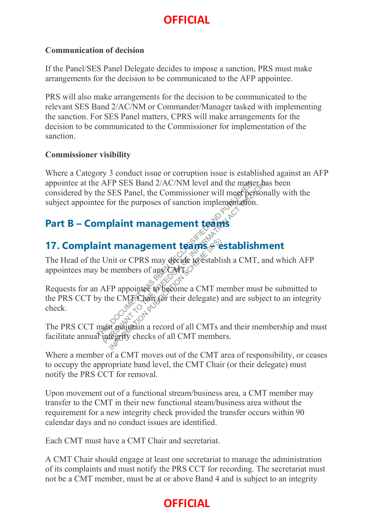#### **Communication of decision**

If the Panel/SES Panel Delegate decides to impose a sanction, PRS must make arrangements for the decision to be communicated to the AFP appointee.

PRS will also make arrangements for the decision to be communicated to the relevant SES Band 2/AC/NM or Commander/Manager tasked with implementing the sanction. For SES Panel matters, CPRS will make arrangements for the decision to be communicated to the Commissioner for implementation of the sanction.

#### **Commissioner visibility**

Where a Category 3 conduct issue or corruption issue is established against an AFP appointee at the AFP SES Band 2/AC/NM level and the matter has been considered by the SES Panel, the Commissioner will meet personally with the subject appointee for the purposes of sanction implementation.

#### **Part B – Complaint management teams**

### 17. Complaint management teams + establishment

The Head of the Unit or CPRS may decide to establish a CMT, and which AFP appointees may be members of any  $\mathbb{C}\mathbb{MT}_{\mathbb{C}}$ 

Requests for an AFP appointee to become a CMT member must be submitted to the PRS CCT by the CMT Chair (or their delegate) and are subject to an integrity check. Example and 2/AC/NM level and the matter has<br>the SES Panel, the Commissioner will meet personal<br>example for the purposes of sanction implementation.<br>**mplaint management teams**<br> $\leftrightarrow$  **examples**<br> $\leftrightarrow$  **Dubing the matter of any** I **management teams**<br>
enit or CPRS may décide to establi<br>
members of any CMLC<sup>X</sup><br>
To appoint the to become a CMT m<br>
ne CMTCharr (or their delegate) and management of all CMTs and the management<br>
of management of all CMTs a

The PRS CCT must maintain a record of all CMTs and their membership and must facilitate annual integrity checks of all CMT members.

Where a member of a CMT moves out of the CMT area of responsibility, or ceases to occupy the appropriate band level, the CMT Chair (or their delegate) must notify the PRS CCT for removal.

Upon movement out of a functional stream/business area, a CMT member may transfer to the CMT in their new functional steam/business area without the requirement for a new integrity check provided the transfer occurs within 90 calendar days and no conduct issues are identified.

Each CMT must have a CMT Chair and secretariat.

A CMT Chair should engage at least one secretariat to manage the administration of its complaints and must notify the PRS CCT for recording. The secretariat must not be a CMT member, must be at or above Band 4 and is subject to an integrity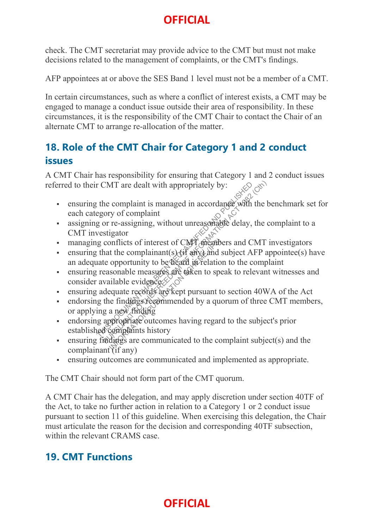check. The CMT secretariat may provide advice to the CMT but must not make decisions related to the management of complaints, or the CMT's findings.

AFP appointees at or above the SES Band 1 level must not be a member of a CMT.

In certain circumstances, such as where a conflict of interest exists, a CMT may be engaged to manage a conduct issue outside their area of responsibility. In these circumstances, it is the responsibility of the CMT Chair to contact the Chair of an alternate CMT to arrange re-allocation of the matter.

#### **18. Role of the CMT Chair for Category 1 and 2 conduct issues**

A CMT Chair has responsibility for ensuring that Category 1 and 2 conduct issues referred to their CMT are dealt with appropriately by:

- ensuring the complaint is managed in accordance with the benchmark set for each category of complaint The complaint is managed in accordance with the example in the complaint<br>
gory of complaint<br>
gory of complaint<br>
gory of complaint<br>
gor re-assigning, without unreasonable delay, the<br>
vestigator<br>
gonflicts of interest of CMT CMT are dealt with appropriately by:<br>  $\frac{1}{2}$  the complaint is managed in accordance with the b<br>
ory of complaint<br>
or re-assigning, without unreasonable delay, the c<br>
stigator<br>
conflicts of interest of CMT depaders and
- assigning or re-assigning, without unreasonable delay, the complaint to a CMT investigator
- managing conflicts of interest of CMT members and CMT investigators
- ensuring that the complainant(s) ( $\hat{H}$  any) and subject AFP appointee(s) have an adequate opportunity to be heard in relation to the complaint
- ensuring reasonable measures are taken to speak to relevant witnesses and consider available evidences  $\otimes$
- ensuring adequate records are kept pursuant to section 40WA of the Act
- endorsing the findings recommended by a quorum of three CMT members, or applying a new finding onflicts of interest of CMT spendot<br>t the complainant(s) (if any ) and s<br>opportunity to be deard in relation<br>sonable measures are taken to spe<br>illable evidences<br>equate records are kept pursuant to<br>equate records are kept p
- endorsing appropriate outcomes having regard to the subject's prior established complaints history
- ensuring findings are communicated to the complaint subject(s) and the complainant  $\mathcal{I}$  if any)
- ensuring outcomes are communicated and implemented as appropriate.

The CMT Chair should not form part of the CMT quorum.

A CMT Chair has the delegation, and may apply discretion under section 40TF of the Act, to take no further action in relation to a Category 1 or 2 conduct issue pursuant to section 11 of this guideline. When exercising this delegation, the Chair must articulate the reason for the decision and corresponding 40TF subsection, within the relevant CRAMS case.

#### **19. CMT Functions**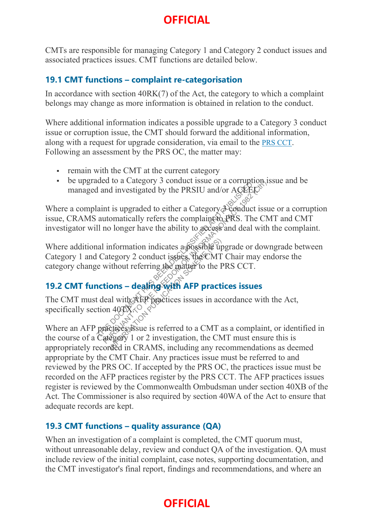CMTs are responsible for managing Category 1 and Category 2 conduct issues and associated practices issues. CMT functions are detailed below.

#### **19.1 CMT functions – complaint re-categorisation**

In accordance with section 40RK(7) of the Act, the category to which a complaint belongs may change as more information is obtained in relation to the conduct.

Where additional information indicates a possible upgrade to a Category 3 conduct issue or corruption issue, the CMT should forward the additional information, along with a request for upgrade consideration, via email to the PRS CCT. Following an assessment by the PRS OC, the matter may:

- remain with the CMT at the current category
- be upgraded to a Category 3 conduct issue or a corruption issue and be managed and investigated by the PRSIU and/or  $AGKEV$ .

Where a complaint is upgraded to either a Category  $\partial \phi$  conduct issue or a corruption issue, CRAMS automatically refers the complaint to PRS. The CMT and CMT investigator will no longer have the ability to  $\alpha \csc s$  and deal with the complaint. THE TRIGGAL CONTROLL ISLAM AND TO THE FREEDOM AND THE TRIGGAL CONTROLL AND INTERNATIONAL AND AND INTERNATIONAL AND INTERNATIONAL CONSULTING THE CONTROLL CONTROLL ISLAM TO THE FREEDOM CONTROLL CONTROLL ISLAMS TO THE WANT C

Where additional information indicates a possible upgrade or downgrade between Category 1 and Category 2 conduct issues, the CMT Chair may endorse the category change without referring the matter to the PRS CCT. Information indicates aspossible up<br>tegory 2 conduct issues, the CMT<br>ithout referring the matter to the F<br>**ons – dealing-with AFP practi**on<br>al with AFP practical with AFP practices<br>al with AFP practices issues in account i

#### **19.2 CMT functions – dealing with AFP practices issues**

The CMT must deal with AFP practices issues in accordance with the Act, specifically section  $40\sqrt{X}$ .

Where an AFP practices is referred to a CMT as a complaint, or identified in the course of a Category 1 or 2 investigation, the CMT must ensure this is appropriately recorded in CRAMS, including any recommendations as deemed appropriate by the CMT Chair. Any practices issue must be referred to and reviewed by the PRS OC. If accepted by the PRS OC, the practices issue must be recorded on the AFP practices register by the PRS CCT. The AFP practices issues register is reviewed by the Commonwealth Ombudsman under section 40XB of the Act. The Commissioner is also required by section 40WA of the Act to ensure that adequate records are kept.

#### **19.3 CMT functions – quality assurance (QA)**

When an investigation of a complaint is completed, the CMT quorum must, without unreasonable delay, review and conduct QA of the investigation. QA must include review of the initial complaint, case notes, supporting documentation, and the CMT investigator's final report, findings and recommendations, and where an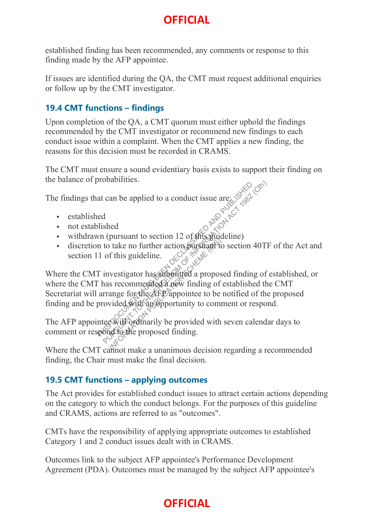established finding has been recommended, any comments or response to this finding made by the AFP appointee.

If issues are identified during the QA, the CMT must request additional enquiries or follow up by the CMT investigator.

#### **19.4 CMT functions – findings**

Upon completion of the QA, a CMT quorum must either uphold the findings recommended by the CMT investigator or recommend new findings to each conduct issue within a complaint. When the CMT applies a new finding, the reasons for this decision must be recorded in CRAMS.

The CMT must ensure a sound evidentiary basis exists to support their finding on the balance of probabilities.

The findings that can be applied to a conduct issue are:

- established
- not established
- withdrawn (pursuant to section 12 of this guideline)
- discretion to take no further action pursuant to section 40TF of the Act and section 11 of this guideline.

Where the CMT investigator has submitted a proposed finding of established, or where the CMT has recommended a new finding of established the CMT Secretariat will arrange for the AFP appointee to be notified of the proposed finding and be provided with an opportunity to comment or respond. Throbabilities.<br>
And can be applied to a conduct issue are:<br>
Solved<br>
and<br>
this divided with section 12 of this puideline)<br>
in to take no further action pursuant to section 40TF<br>
11 of this guideline.<br>
Tinvestigator has sub The no further action pursuant to section 12 oganizant to<br>
take no further action pursuant to<br>
f this guideline.<br>
vestigator has substricted a propos<br>
s recommended a new finding of<br>
ange for the AFP appointee to be<br>
vided

The AFP appointee will ordinarily be provided with seven calendar days to comment or respond to the proposed finding.

Where the CMT cannot make a unanimous decision regarding a recommended finding, the Chair must make the final decision.

#### **19.5 CMT functions – applying outcomes**

The Act provides for established conduct issues to attract certain actions depending on the category to which the conduct belongs. For the purposes of this guideline and CRAMS, actions are referred to as "outcomes".

CMTs have the responsibility of applying appropriate outcomes to established Category 1 and 2 conduct issues dealt with in CRAMS.

Outcomes link to the subject AFP appointee's Performance Development Agreement (PDA). Outcomes must be managed by the subject AFP appointee's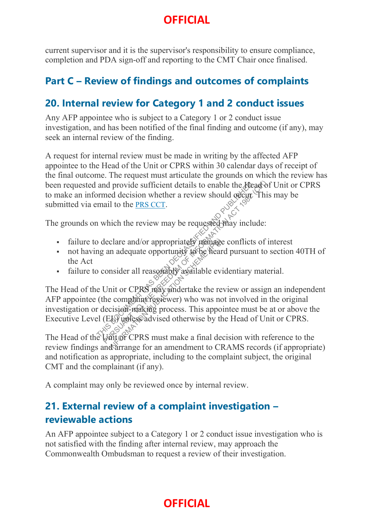current supervisor and it is the supervisor's responsibility to ensure compliance, completion and PDA sign-off and reporting to the CMT Chair once finalised.

#### **Part C – Review of findings and outcomes of complaints**

#### **20. Internal review for Category 1 and 2 conduct issues**

Any AFP appointee who is subject to a Category 1 or 2 conduct issue investigation, and has been notified of the final finding and outcome (if any), may seek an internal review of the finding.

A request for internal review must be made in writing by the affected AFP appointee to the Head of the Unit or CPRS within 30 calendar days of receipt of the final outcome. The request must articulate the grounds on which the review has been requested and provide sufficient details to enable the Head of Unit or CPRS to make an informed decision whether a review should occur. This may be submitted via email to the PRS CCT.

The grounds on which the review may be requested may include:

- failure to declare and/or appropriately manage conflicts of interest
- not having an adequate opportunity to be heard pursuant to section 40TH of the Act
- failure to consider all reasonably available evidentiary material.

The Head of the Unit or CPRS may undertake the review or assign an independent AFP appointee (the complaint reviewer) who was not involved in the original investigation or decision-making process. This appointee must be at or above the Executive Level (EL) unless advised otherwise by the Head of Unit or CPRS. been requested and provide sufficient details to enable the *Meadof* Unit or CPR<br>to make an informed decision whether a review should decigr. This may be<br>submitted via email to the <u>PRS CCT</u>.<br>The grounds on which the revi and provide sufficient details to enable the Atea<br>ormed decision whether a review should declare<br>mail to the <u>PRS CCT</u>.<br>a which the review may be requested thay include<br>of declare and/or appropriately include the conflict clare and/or appropriately in adequate opportunity to be hear<br>msider all reasonably available evi-<br>mit or CPRS may undertake the re-<br>e complaint reviewer) who was no<br>cision-making process. This apportunity while a final de

review findings and arrange for an amendment to CRAMS records (if appropriate) and notification as appropriate, including to the complaint subject, the original CMT and the complainant (if any).

A complaint may only be reviewed once by internal review.

#### **21. External review of a complaint investigation – reviewable actions**

An AFP appointee subject to a Category 1 or 2 conduct issue investigation who is not satisfied with the finding after internal review, may approach the Commonwealth Ombudsman to request a review of their investigation.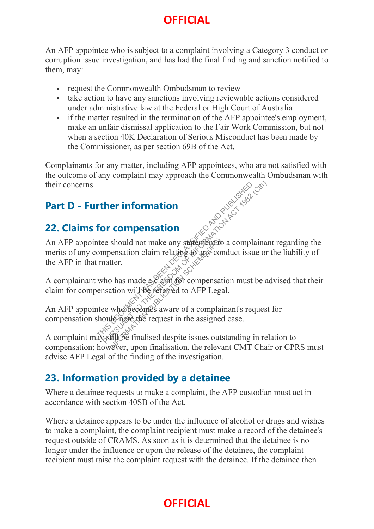An AFP appointee who is subject to a complaint involving a Category 3 conduct or corruption issue investigation, and has had the final finding and sanction notified to them, may:

- **request the Commonwealth Ombudsman to review**
- take action to have any sanctions involving reviewable actions considered under administrative law at the Federal or High Court of Australia
- if the matter resulted in the termination of the AFP appointee's employment, make an unfair dismissal application to the Fair Work Commission, but not when a section 40K Declaration of Serious Misconduct has been made by the Commissioner, as per section 69B of the Act.

Complainants for any matter, including AFP appointees, who are not satisfied with the outcome of any complaint may approach the Commonwealth Ombudsman with their concerns.

### **Part D - Further information**

#### **22. Claims for compensation**

An AFP appointee should not make any statement to a complainant regarding the merits of any compensation claim relating to any conduct issue or the liability of the AFP in that matter. Ther information<br>
for compensation<br>
the should not make any statements a complainan<br>
ompensation claim relating  $\leftrightarrow$  any conduct issue or<br>
and the matter.<br>
who has made a claim for compensation must be a<br>
ensation will be INFORMATION PUBLICATION SCHEME (IPS)

A complainant who has made a claim for compensation must be advised that their claim for compensation will be referred to AFP Legal.

An AFP appointee who becomes aware of a complainant's request for compensation should note the request in the assigned case.

A complaint may still be finalised despite issues outstanding in relation to compensation; however, upon finalisation, the relevant CMT Chair or CPRS must advise AFP Legal of the finding of the investigation.

### **23. Information provided by a detainee**

Where a detainee requests to make a complaint, the AFP custodian must act in accordance with section 40SB of the Act.

Where a detainee appears to be under the influence of alcohol or drugs and wishes to make a complaint, the complaint recipient must make a record of the detainee's request outside of CRAMS. As soon as it is determined that the detainee is no longer under the influence or upon the release of the detainee, the complaint recipient must raise the complaint request with the detainee. If the detainee then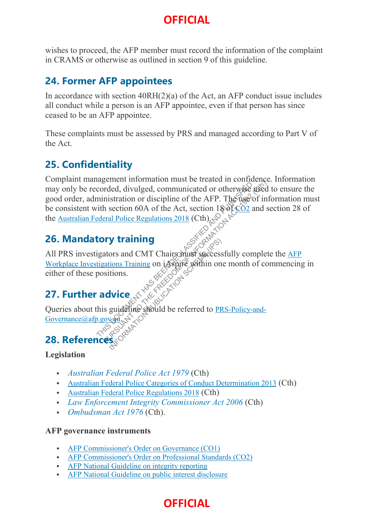wishes to proceed, the AFP member must record the information of the complaint in CRAMS or otherwise as outlined in section 9 of this guideline.

#### **24. Former AFP appointees**

In accordance with section 40RH(2)(a) of the Act, an AFP conduct issue includes all conduct while a person is an AFP appointee, even if that person has since ceased to be an AFP appointee.

These complaints must be assessed by PRS and managed according to Part V of the Act.

#### **25. Confidentiality**

Complaint management information must be treated in confidence. Information may only be recorded, divulged, communicated or otherwise used to ensure the good order, administration or discipline of the AFP. The use of information must be consistent with section 60A of the Act, section 180f. CO2 and section 28 of the Australian Federal Police Regulations 2018 (Cth). THE THIS DOCUMENT CONTROLL CONTROLL CONTROLL CONTROLL CONTROLL CONTROLL CONTROLL CONTROLL CONTROLL CONTROLL CONTROLL CONTROLL CONTROLL CONTROLL CONTROLL CONTROLL CONTROLL CONTROLL CONTROLL CONTROLL CONTROLL CONTROLL CONTRO

### **26. Mandatory training**

All PRS investigators and CMT Chairs must successfully complete the AFP Workplace Investigations Training on iAspire within one month of commencing in either of these positions. **V training**<br>
ors and CMT Chairs must success<br>
ions Training on iAspire within on<br>
tions.<br> **Vice**<br>
guideline should be referred to PR

### **27. Further advice**

Queries about this guideline should be referred to <u>PRS-Policy-and-Governance</u>@afp.gov.gd( $\ge$ )

Governance @afp.gov.au.

### **28. Reference**

#### **Legislation**

- *Australian Federal Police Act 1979* (Cth)
- Australian Federal Police Categories of Conduct Determination 2013 (Cth)
- Australian Federal Police Regulations 2018 (Cth)
- *Law Enforcement Integrity Commissioner Act 2006* (Cth)
- *Ombudsman Act 1976* (Cth).

#### **AFP governance instruments**

- **AFP Commissioner's Order on Governance (CO1)**
- AFP Commissioner's Order on Professional Standards (CO2)
- AFP National Guideline on integrity reporting
- AFP National Guideline on public interest disclosure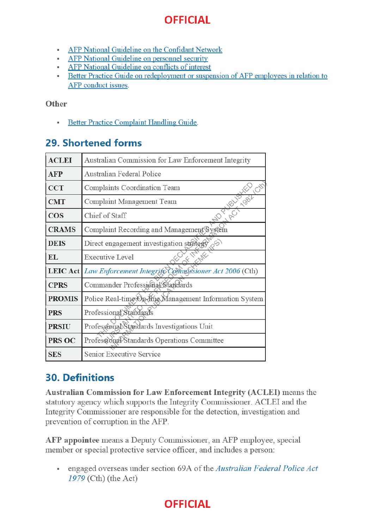- AFP National Guideline on the Confidant Network
- AFP National Guideline on personnel security
- AFP National Guideline on conflicts of interest
- Better Practice Guide on redeployment or suspension of AFP employees in relation to AFP conduct issues.

#### Other

**Better Practice Complaint Handling Guide.** à.

#### 29. Shortened forms

| <b>ACLEI</b>    | Australian Commission for Law Enforcement Integrity    |
|-----------------|--------------------------------------------------------|
| <b>AFP</b>      | Australian Federal Police                              |
| <b>CCT</b>      | Complaints Coordination Team                           |
| <b>CMT</b>      | Complaint Management Team                              |
| <b>COS</b>      | <b>PROTECTION</b><br>50 <sup>2</sup><br>Chief of Staff |
| <b>CRAMS</b>    | Complaint Recording and Management System              |
| <b>DEIS</b>     | Direct engagement investigation strategy<br>$85 - 10$  |
| <b>EL</b>       | <b>Executive Level</b>                                 |
| <b>LEIC Act</b> | Law Enforcement Integrify Commissioner Act 2006 (Cth)  |
| <b>CPRS</b>     | Commander Professional Standards                       |
| <b>PROMIS</b>   | Police Real-time On-Mine Management Information System |
| <b>PRS</b>      | Professional Standards                                 |
| <b>PRSIU</b>    | Professional Standards Investigations Unit             |
| PRS OC          | Professional Standards Operations Committee            |
| <b>SES</b>      | <b>Senior Executive Service</b>                        |

#### **30. Definitions**

**Australian Commission for Law Enforcement Integrity (ACLEI)** means the statutory agency which supports the Integrity Commissioner. ACLEI and the Integrity Commissioner are responsible for the detection, investigation and prevention of corruption in the AFP.

AFP appointee means a Deputy Commissioner, an AFP employee, special member or special protective service officer, and includes a person:

• engaged overseas under section 69A of the Australian Federal Police Act  $1979$  (Cth) (the Act)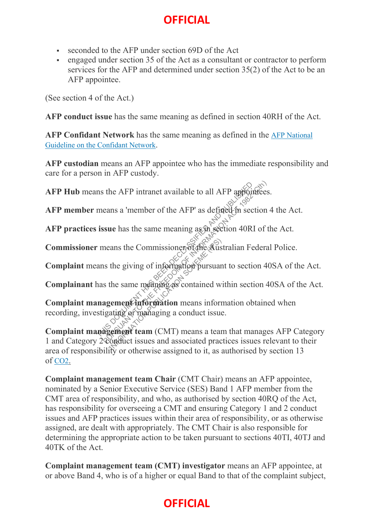- seconded to the AFP under section 69D of the Act
- engaged under section 35 of the Act as a consultant or contractor to perform services for the AFP and determined under section 35(2) of the Act to be an AFP appointee.

(See section 4 of the Act.)

**AFP conduct issue** has the same meaning as defined in section 40RH of the Act.

**AFP Confidant Network** has the same meaning as defined in the AFP National Guideline on the Confidant Network.

**AFP custodian** means an AFP appointee who has the immediate responsibility and care for a person in AFP custody.

**AFP Hub** means the AFP intranet available to all AFP appointees.

**AFP member** means a 'member of the AFP' as defined in section 4 the Act.

**AFP practices issue** has the same meaning as in section 40RI of the Act.

**Commissioner** means the Commissioner of the Australian Federal Police.

**Complaint** means the giving of information pursuant to section 40SA of the Act.

Complainant has the same meaning as contained within section 40SA of the Act.

**Complaint management information** means information obtained when recording, investigating or managing a conduct issue. THE AFP intranet available to all AFP appointees<br>
means a 'member of the AFP' as defined in section<br>
issue has the same meaning as in section 40RI of the<br>
reans the Commissioners of the Australian Federal<br>
ans the giving o

**Complaint management team** (CMT) means a team that manages AFP Category 1 and Category 2 conduct issues and associated practices issues relevant to their area of responsibility or otherwise assigned to it, as authorised by section 13 of CO2. Formation Commissioners of the Australian the giving of information pursuar<br>the same meaning as contained with the same meaning as contained with<br>general information means informating of managing a conduct issue<br>general te

**Complaint management team Chair** (CMT Chair) means an AFP appointee, nominated by a Senior Executive Service (SES) Band 1 AFP member from the CMT area of responsibility, and who, as authorised by section 40RQ of the Act, has responsibility for overseeing a CMT and ensuring Category 1 and 2 conduct issues and AFP practices issues within their area of responsibility, or as otherwise assigned, are dealt with appropriately. The CMT Chair is also responsible for determining the appropriate action to be taken pursuant to sections 40TI, 40TJ and 40TK of the Act.

**Complaint management team (CMT) investigator** means an AFP appointee, at or above Band 4, who is of a higher or equal Band to that of the complaint subject,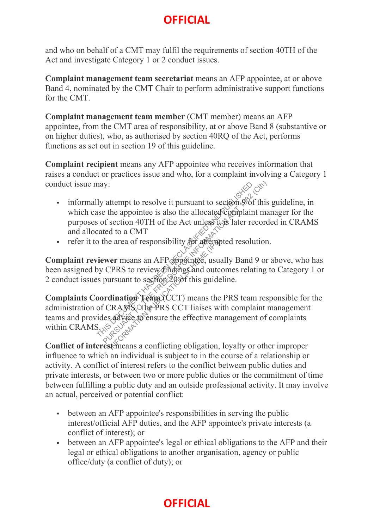and who on behalf of a CMT may fulfil the requirements of section 40TH of the Act and investigate Category 1 or 2 conduct issues.

**Complaint management team secretariat** means an AFP appointee, at or above Band 4, nominated by the CMT Chair to perform administrative support functions for the CMT.

**Complaint management team member** (CMT member) means an AFP appointee, from the CMT area of responsibility, at or above Band 8 (substantive or on higher duties), who, as authorised by section 40RQ of the Act, performs functions as set out in section 19 of this guideline.

**Complaint recipient** means any AFP appointee who receives information that raises a conduct or practices issue and who, for a complaint involving a Category 1 conduct issue may:

- informally attempt to resolve it pursuant to section  $\phi$  of this guideline, in which case the appointee is also the allocated complaint manager for the purposes of section 40TH of the Act unless its later recorded in CRAMS and allocated to a CMT
- refer it to the area of responsibility for attempted resolution.

**Complaint reviewer** means an AFP appointee, usually Band 9 or above, who has been assigned by CPRS to review findings and outcomes relating to Category 1 or 2 conduct issues pursuant to section  $20\sigma$  f this guideline.

**Complaints Coordination Team** (CCT) means the PRS team responsible for the administration of CRAMS. The PRS CCT liaises with complaint management teams and provides advice to ensure the effective management of complaints within CRAMS. may:<br>
lly attempt to resolve it pursuant to section.9 of<br>
see the appointee is also the allocated complaint<br>
is of section 40TH of the Act unless its later rec<br>
cated to a CMT<br>
o the area of responsibility for afternated r BUT ANY CONSIDER THE FREEDOM OF SURVEY CONSIDER THE PROPERTY OF SECTION ACT IN the area of responsibility for attempted resolution.<br>
We are a of responsibility for attempted resolution.<br>
We are a of responsibility for att e area of responsibility for affension<br>
ver means an AFP appointee, usua<br>
TPRS to review findings and outcor<br>
ursuant to section 2006 this guide<br>
dination Team (CCT) means the<br>
TRAMS The PRS CCT liaises with advice to ensu

**Conflict of interest** means a conflicting obligation, loyalty or other improper influence to which an individual is subject to in the course of a relationship or activity. A conflict of interest refers to the conflict between public duties and private interests, or between two or more public duties or the commitment of time between fulfilling a public duty and an outside professional activity. It may involve an actual, perceived or potential conflict:

- between an AFP appointee's responsibilities in serving the public interest/official AFP duties, and the AFP appointee's private interests (a conflict of interest); or
- between an AFP appointee's legal or ethical obligations to the AFP and their legal or ethical obligations to another organisation, agency or public office/duty (a conflict of duty); or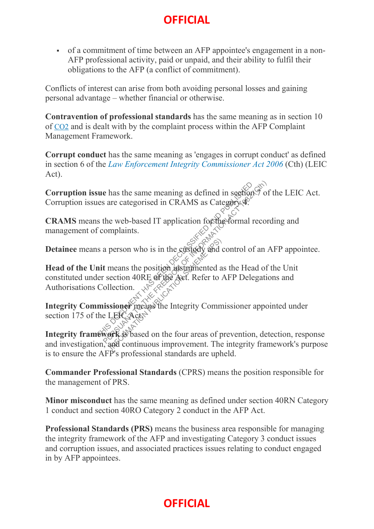of a commitment of time between an AFP appointee's engagement in a non-AFP professional activity, paid or unpaid, and their ability to fulfil their obligations to the AFP (a conflict of commitment).

Conflicts of interest can arise from both avoiding personal losses and gaining personal advantage – whether financial or otherwise.

**Contravention of professional standards** has the same meaning as in section 10 of CO2 and is dealt with by the complaint process within the AFP Complaint Management Framework.

**Corrupt conduct** has the same meaning as 'engages in corrupt conduct' as defined in section 6 of the *Law Enforcement Integrity Commissioner Act 2006* (Cth) (LEIC Act).

Corruption issue has the same meaning as defined in section  $\check{\mathfrak{A}}$  of the LEIC Act. Corruption issues are categorised in CRAMS as Category 4.

**CRAMS** means the web-based IT application for the formal recording and management of complaints.

**Detainee** means a person who is in the custody and control of an AFP appointee.

**Head of the Unit** means the position instrumented as the Head of the Unit constituted under section 40RE of the Act. Refer to AFP Delegations and Authorisations Collection. sue has the same meaning as defined in sections?<br>
It is a get categorised in CRAMS as Category.<br>
See Some Superior Complaints.<br>
It complaints.<br>
It is a person who is in the cursed and control of an  $\ell$ <br>
in the means the person who is in the custody and means the position instrumented a<br>ection 40RE of the Aet. Refer to lection.<br>lection.<br>sioner means the Integrity Community<br>Scheme (Act)

**Integrity Commissioner** means the Integrity Commissioner appointed under section 175 of the LEICActs

**Integrity framework** is based on the four areas of prevention, detection, response and investigation, and continuous improvement. The integrity framework's purpose is to ensure the AFP's professional standards are upheld.

**Commander Professional Standards** (CPRS) means the position responsible for the management of PRS.

**Minor misconduct** has the same meaning as defined under section 40RN Category 1 conduct and section 40RO Category 2 conduct in the AFP Act.

**Professional Standards (PRS)** means the business area responsible for managing the integrity framework of the AFP and investigating Category 3 conduct issues and corruption issues, and associated practices issues relating to conduct engaged in by AFP appointees.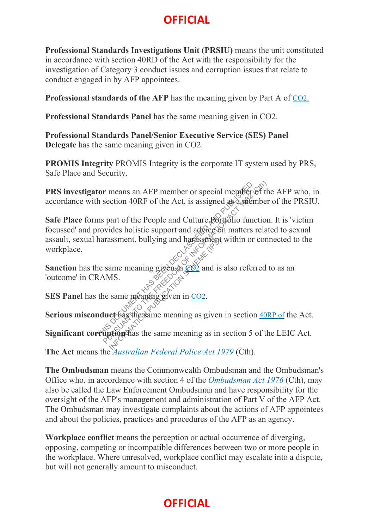**Professional Standards Investigations Unit (PRSIU)** means the unit constituted in accordance with section 40RD of the Act with the responsibility for the investigation of Category 3 conduct issues and corruption issues that relate to conduct engaged in by AFP appointees.

**Professional standards of the AFP** has the meaning given by Part A of CO2.

**Professional Standards Panel** has the same meaning given in CO2.

**Professional Standards Panel/Senior Executive Service (SES) Panel Delegate** has the same meaning given in CO2.

**PROMIS Integrity** PROMIS Integrity is the corporate IT system used by PRS, Safe Place and Security.

**PRS investigator** means an AFP member or special member of the AFP who, in accordance with section 40RF of the Act, is assigned as a member of the PRSIU.

**Safe Place** forms part of the People and Culture Portfolio function. It is 'victim focussed' and provides holistic support and advice on matters related to sexual assault, sexual harassment, bullying and harassment within or connected to the workplace. **tor** means an AFP member or special member of the heation 40RF of the Act, is assigned as a member or space and control in the people and Culture Portfolio function rovides holistic support and adveceson matters relat ha

**Sanction** has the same meaning given  $\mathbb{R}^{\infty}$  of  $\mathbb{R}^{\infty}$  and is also referred to as an 'outcome' in CRAMS. Exame meaning given in  $CO<sup>2</sup>$  and is<br>
MS.<br>
same meaning given in  $CO<sup>2</sup>$ .<br>
same meaning given in  $CO<sup>2</sup>$ .<br>
ct has the same meaning as given<br>
strop has the same meaning as in

**SES Panel** has the same meaning given in CO2.

Serious misconduct has the same meaning as given in section 40RP of the Act.

**Significant corruption** has the same meaning as in section 5 of the LEIC Act.

**The Act** means the *Australian Federal Police Act 1979* (Cth).

**The Ombudsman** means the Commonwealth Ombudsman and the Ombudsman's Office who, in accordance with section 4 of the *Ombudsman Act 1976* (Cth), may also be called the Law Enforcement Ombudsman and have responsibility for the oversight of the AFP's management and administration of Part V of the AFP Act. The Ombudsman may investigate complaints about the actions of AFP appointees and about the policies, practices and procedures of the AFP as an agency.

**Workplace conflict** means the perception or actual occurrence of diverging, opposing, competing or incompatible differences between two or more people in the workplace. Where unresolved, workplace conflict may escalate into a dispute, but will not generally amount to misconduct.